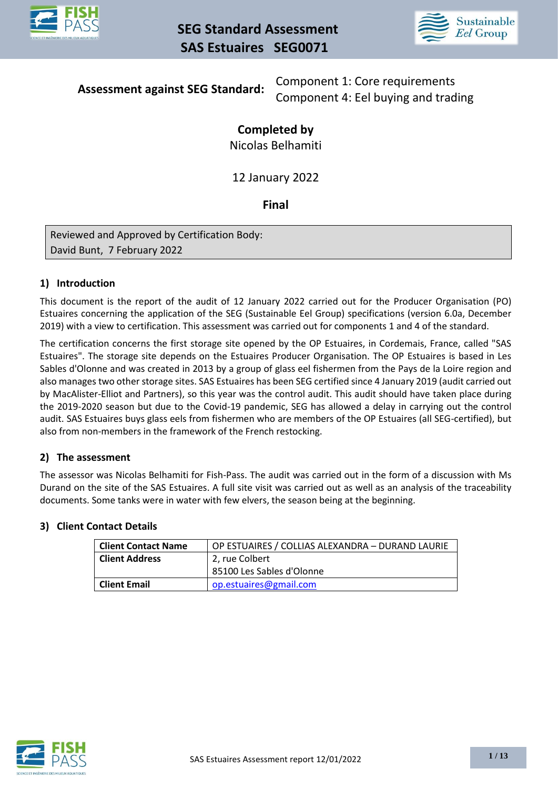



# **Assessment against SEG Standard:**

Component 1: Core requirements Component 4: Eel buying and trading

# **Completed by**

Nicolas Belhamiti

12 January 2022

# **Final**

Reviewed and Approved by Certification Body: David Bunt, 7 February 2022

## **1) Introduction**

This document is the report of the audit of 12 January 2022 carried out for the Producer Organisation (PO) Estuaires concerning the application of the SEG (Sustainable Eel Group) specifications (version 6.0a, December 2019) with a view to certification. This assessment was carried out for components 1 and 4 of the standard.

The certification concerns the first storage site opened by the OP Estuaires, in Cordemais, France, called "SAS Estuaires". The storage site depends on the Estuaires Producer Organisation. The OP Estuaires is based in Les Sables d'Olonne and was created in 2013 by a group of glass eel fishermen from the Pays de la Loire region and also manages two other storage sites. SAS Estuaires has been SEG certified since 4 January 2019 (audit carried out by MacAlister-Elliot and Partners), so this year was the control audit. This audit should have taken place during the 2019-2020 season but due to the Covid-19 pandemic, SEG has allowed a delay in carrying out the control audit. SAS Estuaires buys glass eels from fishermen who are members of the OP Estuaires (all SEG-certified), but also from non-members in the framework of the French restocking.

## **2) The assessment**

The assessor was Nicolas Belhamiti for Fish-Pass. The audit was carried out in the form of a discussion with Ms Durand on the site of the SAS Estuaires. A full site visit was carried out as well as an analysis of the traceability documents. Some tanks were in water with few elvers, the season being at the beginning.

#### **3) Client Contact Details**

| <b>Client Contact Name</b> | OP ESTUAIRES / COLLIAS ALEXANDRA - DURAND LAURIE |
|----------------------------|--------------------------------------------------|
| <b>Client Address</b>      | 2, rue Colbert                                   |
|                            | 85100 Les Sables d'Olonne                        |
| <b>Client Email</b>        | op.estuaires@gmail.com                           |
|                            |                                                  |

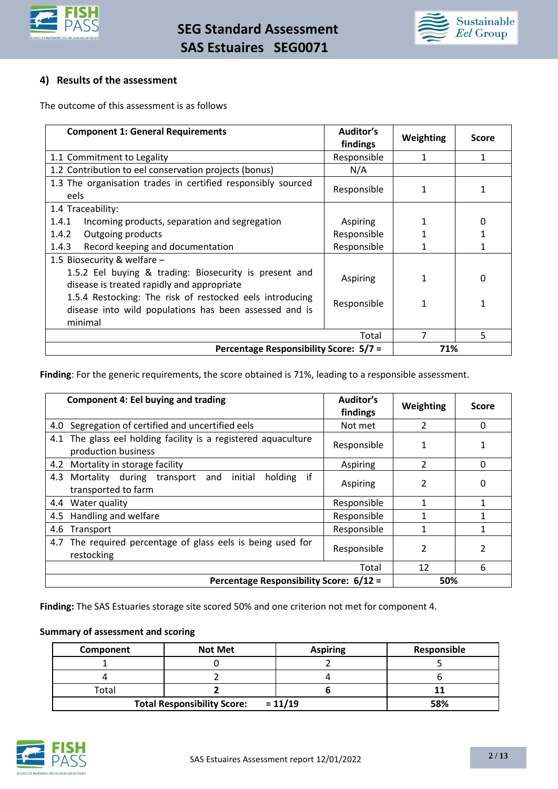



#### **4) Results of the assessment**

The outcome of this assessment is as follows

| <b>Component 1: General Requirements</b>                                                                                      | Auditor's<br>findings | Weighting    | <b>Score</b> |
|-------------------------------------------------------------------------------------------------------------------------------|-----------------------|--------------|--------------|
| 1.1 Commitment to Legality                                                                                                    | Responsible           | 1            | 1            |
| 1.2 Contribution to eel conservation projects (bonus)                                                                         | N/A                   |              |              |
| 1.3 The organisation trades in certified responsibly sourced<br>eels                                                          | Responsible           | 1            |              |
| 1.4 Traceability:                                                                                                             |                       |              |              |
| 1.4.1<br>Incoming products, separation and segregation                                                                        | Aspiring              |              | 0            |
| 1.4.2<br>Outgoing products                                                                                                    | Responsible           |              |              |
| Record keeping and documentation<br>1.4.3                                                                                     | Responsible           |              |              |
| 1.5 Biosecurity & welfare -                                                                                                   |                       |              |              |
| 1.5.2 Eel buying & trading: Biosecurity is present and<br>disease is treated rapidly and appropriate                          | Aspiring              | $\mathbf{1}$ | 0            |
| 1.5.4 Restocking: The risk of restocked eels introducing<br>disease into wild populations has been assessed and is<br>minimal | Responsible           | 1            |              |
|                                                                                                                               | Total                 | 7            | 5            |
| Percentage Responsibility Score: 5/7 =                                                                                        |                       | 71%          |              |

**Finding**: For the generic requirements, the score obtained is 71%, leading to a responsible assessment.

| <b>Component 4: Eel buying and trading</b>                                            | Auditor's<br>findings | Weighting                | <b>Score</b> |
|---------------------------------------------------------------------------------------|-----------------------|--------------------------|--------------|
| 4.0 Segregation of certified and uncertified eels                                     | Not met               | $\overline{\phantom{a}}$ | 0            |
| 4.1 The glass eel holding facility is a registered aquaculture<br>production business | Responsible           | 1                        |              |
| 4.2 Mortality in storage facility                                                     | Aspiring              | $\overline{\phantom{a}}$ | 0            |
| if<br>4.3 Mortality during transport and initial<br>holding<br>transported to farm    | Aspiring              | $\overline{\phantom{a}}$ | 0            |
| 4.4 Water quality                                                                     | Responsible           | 1                        |              |
| 4.5 Handling and welfare                                                              | Responsible           |                          |              |
| 4.6<br>Transport                                                                      | Responsible           | 1                        | 1            |
| 4.7 The required percentage of glass eels is being used for<br>restocking             | Responsible           | 2                        | 2            |
|                                                                                       | Total                 | 12                       | 6            |
| Percentage Responsibility Score: 6/12 =                                               |                       | 50%                      |              |

**Finding:** The SAS Estuaries storage site scored 50% and one criterion not met for component 4.

#### **Summary of assessment and scoring**

| Component                                       | <b>Not Met</b> | <b>Aspiring</b> | Responsible |
|-------------------------------------------------|----------------|-----------------|-------------|
|                                                 |                |                 |             |
|                                                 |                |                 |             |
| Total                                           |                |                 |             |
| $= 11/19$<br><b>Total Responsibility Score:</b> |                |                 | 58%         |

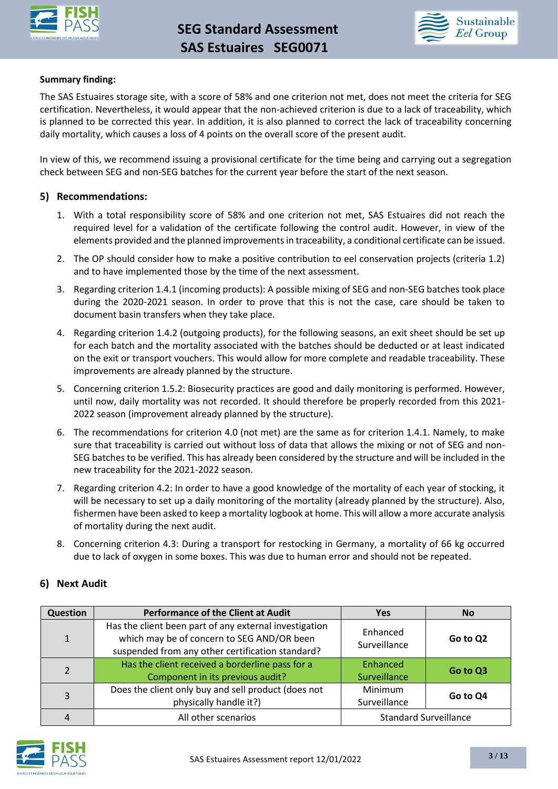



#### **Summary finding:**

The SAS Estuaires storage site, with a score of 58% and one criterion not met, does not meet the criteria for SEG certification. Nevertheless, it would appear that the non-achieved criterion is due to a lack of traceability, which is planned to be corrected this year. In addition, it is also planned to correct the lack of traceability concerning daily mortality, which causes a loss of 4 points on the overall score of the present audit.

In view of this, we recommend issuing a provisional certificate for the time being and carrying out a segregation check between SEG and non-SEG batches for the current year before the start of the next season.

#### **5) Recommendations:**

- 1. With a total responsibility score of 58% and one criterion not met, SAS Estuaires did not reach the required level for a validation of the certificate following the control audit. However, in view of the elements provided and the planned improvements in traceability, a conditional certificate can be issued.
- 2. The OP should consider how to make a positive contribution to eel conservation projects (criteria 1.2) and to have implemented those by the time of the next assessment.
- 3. Regarding criterion 1.4.1 (incoming products): A possible mixing of SEG and non-SEG batches took place during the 2020-2021 season. In order to prove that this is not the case, care should be taken to document basin transfers when they take place.
- 4. Regarding criterion 1.4.2 (outgoing products), for the following seasons, an exit sheet should be set up for each batch and the mortality associated with the batches should be deducted or at least indicated on the exit or transport vouchers. This would allow for more complete and readable traceability. These improvements are already planned by the structure.
- 5. Concerning criterion 1.5.2: Biosecurity practices are good and daily monitoring is performed. However, until now, daily mortality was not recorded. It should therefore be properly recorded from this 2021- 2022 season (improvement already planned by the structure).
- 6. The recommendations for criterion 4.0 (not met) are the same as for criterion 1.4.1. Namely, to make sure that traceability is carried out without loss of data that allows the mixing or not of SEG and non-SEG batches to be verified. This has already been considered by the structure and will be included in the new traceability for the 2021-2022 season.
- 7. Regarding criterion 4.2: In order to have a good knowledge of the mortality of each year of stocking, it will be necessary to set up a daily monitoring of the mortality (already planned by the structure). Also, fishermen have been asked to keep a mortality logbook at home. This will allow a more accurate analysis of mortality during the next audit.
- 8. Concerning criterion 4.3: During a transport for restocking in Germany, a mortality of 66 kg occurred due to lack of oxygen in some boxes. This was due to human error and should not be repeated.

#### **6) Next Audit**

| Question       | <b>Performance of the Client at Audit</b>                                                                                                                | <b>Yes</b>                     | <b>No</b> |
|----------------|----------------------------------------------------------------------------------------------------------------------------------------------------------|--------------------------------|-----------|
| $\mathbf{1}$   | Has the client been part of any external investigation<br>which may be of concern to SEG AND/OR been<br>suspended from any other certification standard? | Enhanced<br>Surveillance       | Go to Q2  |
| $\overline{2}$ | Has the client received a borderline pass for a<br>Component in its previous audit?                                                                      | Enhanced<br>Surveillance       | Go to Q3  |
| 3              | Does the client only buy and sell product (does not<br>physically handle it?)                                                                            | <b>Minimum</b><br>Surveillance | Go to Q4  |
| 4              | All other scenarios                                                                                                                                      | <b>Standard Surveillance</b>   |           |

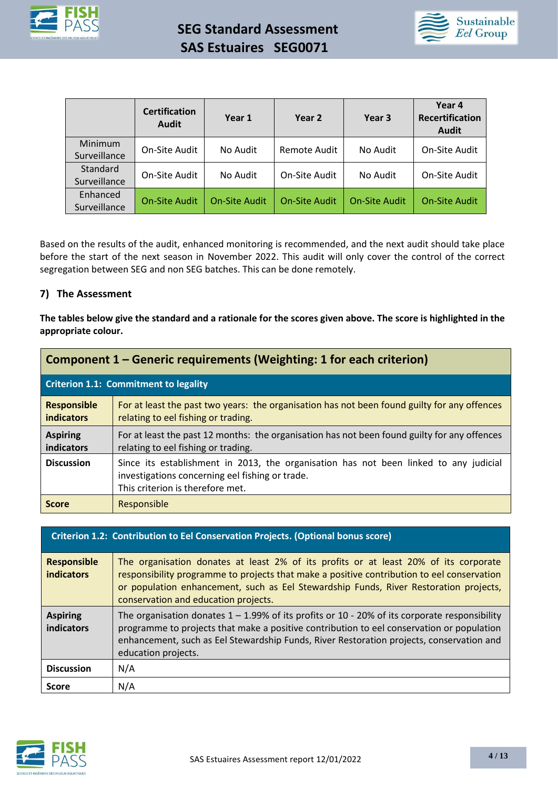



|                          | <b>Certification</b><br><b>Audit</b> | Year 1               | Year 2               | Year 3               | Year 4<br><b>Recertification</b><br><b>Audit</b> |
|--------------------------|--------------------------------------|----------------------|----------------------|----------------------|--------------------------------------------------|
| Minimum<br>Surveillance  | On-Site Audit                        | No Audit             | Remote Audit         | No Audit             | On-Site Audit                                    |
| Standard<br>Surveillance | On-Site Audit                        | No Audit             | On-Site Audit        | No Audit             | On-Site Audit                                    |
| Enhanced<br>Surveillance | <b>On-Site Audit</b>                 | <b>On-Site Audit</b> | <b>On-Site Audit</b> | <b>On-Site Audit</b> | <b>On-Site Audit</b>                             |

Based on the results of the audit, enhanced monitoring is recommended, and the next audit should take place before the start of the next season in November 2022. This audit will only cover the control of the correct segregation between SEG and non SEG batches. This can be done remotely.

#### **7) The Assessment**

**The tables below give the standard and a rationale for the scores given above. The score is highlighted in the appropriate colour.**

| Component 1 – Generic requirements (Weighting: 1 for each criterion) |                                                                                                                                                                              |  |
|----------------------------------------------------------------------|------------------------------------------------------------------------------------------------------------------------------------------------------------------------------|--|
| Criterion 1.1: Commitment to legality                                |                                                                                                                                                                              |  |
| <b>Responsible</b><br><b>indicators</b>                              | For at least the past two years: the organisation has not been found guilty for any offences<br>relating to eel fishing or trading.                                          |  |
| <b>Aspiring</b><br>indicators                                        | For at least the past 12 months: the organisation has not been found guilty for any offences<br>relating to eel fishing or trading.                                          |  |
| <b>Discussion</b>                                                    | Since its establishment in 2013, the organisation has not been linked to any judicial<br>investigations concerning eel fishing or trade.<br>This criterion is therefore met. |  |
| <b>Score</b>                                                         | Responsible                                                                                                                                                                  |  |

|                                         | Criterion 1.2: Contribution to Eel Conservation Projects. (Optional bonus score)                                                                                                                                                                                                                                    |
|-----------------------------------------|---------------------------------------------------------------------------------------------------------------------------------------------------------------------------------------------------------------------------------------------------------------------------------------------------------------------|
| <b>Responsible</b><br><b>indicators</b> | The organisation donates at least 2% of its profits or at least 20% of its corporate<br>responsibility programme to projects that make a positive contribution to eel conservation<br>or population enhancement, such as Eel Stewardship Funds, River Restoration projects,<br>conservation and education projects. |
| <b>Aspiring</b><br>indicators           | The organisation donates $1 - 1.99\%$ of its profits or 10 - 20% of its corporate responsibility<br>programme to projects that make a positive contribution to eel conservation or population<br>enhancement, such as Eel Stewardship Funds, River Restoration projects, conservation and<br>education projects.    |
| <b>Discussion</b>                       | N/A                                                                                                                                                                                                                                                                                                                 |
| <b>Score</b>                            | N/A                                                                                                                                                                                                                                                                                                                 |

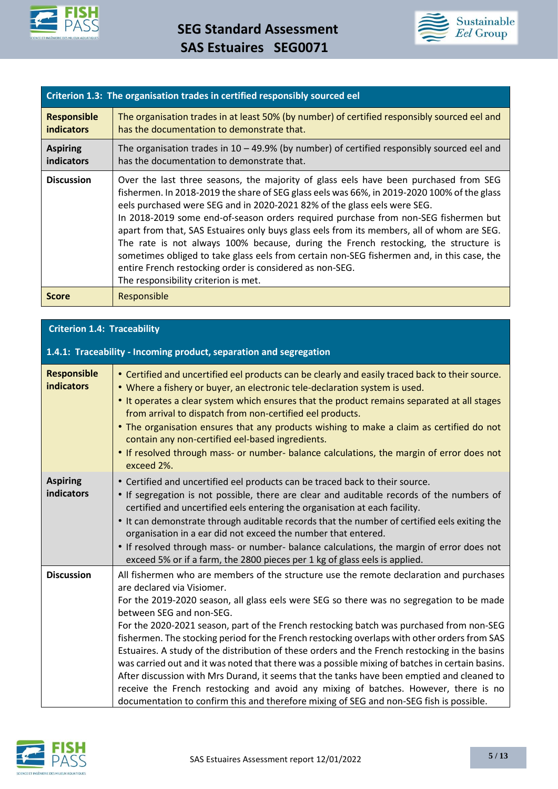



| Criterion 1.3: The organisation trades in certified responsibly sourced eel |                                                                                                                                                                                                                                                                                                                                                                                                                                                                                                                                                                                                                                                                                                                                               |
|-----------------------------------------------------------------------------|-----------------------------------------------------------------------------------------------------------------------------------------------------------------------------------------------------------------------------------------------------------------------------------------------------------------------------------------------------------------------------------------------------------------------------------------------------------------------------------------------------------------------------------------------------------------------------------------------------------------------------------------------------------------------------------------------------------------------------------------------|
| <b>Responsible</b><br><b>indicators</b>                                     | The organisation trades in at least 50% (by number) of certified responsibly sourced eel and<br>has the documentation to demonstrate that.                                                                                                                                                                                                                                                                                                                                                                                                                                                                                                                                                                                                    |
| <b>Aspiring</b><br>indicators                                               | The organisation trades in $10 - 49.9\%$ (by number) of certified responsibly sourced eel and<br>has the documentation to demonstrate that.                                                                                                                                                                                                                                                                                                                                                                                                                                                                                                                                                                                                   |
| <b>Discussion</b>                                                           | Over the last three seasons, the majority of glass eels have been purchased from SEG<br>fishermen. In 2018-2019 the share of SEG glass eels was 66%, in 2019-2020 100% of the glass<br>eels purchased were SEG and in 2020-2021 82% of the glass eels were SEG.<br>In 2018-2019 some end-of-season orders required purchase from non-SEG fishermen but<br>apart from that, SAS Estuaires only buys glass eels from its members, all of whom are SEG.<br>The rate is not always 100% because, during the French restocking, the structure is<br>sometimes obliged to take glass eels from certain non-SEG fishermen and, in this case, the<br>entire French restocking order is considered as non-SEG.<br>The responsibility criterion is met. |
| <b>Score</b>                                                                | Responsible                                                                                                                                                                                                                                                                                                                                                                                                                                                                                                                                                                                                                                                                                                                                   |

| <b>Criterion 1.4: Traceability</b> |  |
|------------------------------------|--|
|                                    |  |

|                                         | 1.4.1: Traceability - Incoming product, separation and segregation                                                                                                                                                                                                                                                                                                                                                                                                                                                                                                                                                                                                                                                                                                                                                                                                                                                             |
|-----------------------------------------|--------------------------------------------------------------------------------------------------------------------------------------------------------------------------------------------------------------------------------------------------------------------------------------------------------------------------------------------------------------------------------------------------------------------------------------------------------------------------------------------------------------------------------------------------------------------------------------------------------------------------------------------------------------------------------------------------------------------------------------------------------------------------------------------------------------------------------------------------------------------------------------------------------------------------------|
| <b>Responsible</b><br><b>indicators</b> | • Certified and uncertified eel products can be clearly and easily traced back to their source.<br>. Where a fishery or buyer, an electronic tele-declaration system is used.<br>. It operates a clear system which ensures that the product remains separated at all stages<br>from arrival to dispatch from non-certified eel products.<br>• The organisation ensures that any products wishing to make a claim as certified do not<br>contain any non-certified eel-based ingredients.<br>. If resolved through mass- or number- balance calculations, the margin of error does not<br>exceed 2%.                                                                                                                                                                                                                                                                                                                           |
| <b>Aspiring</b><br><b>indicators</b>    | • Certified and uncertified eel products can be traced back to their source.<br>• If segregation is not possible, there are clear and auditable records of the numbers of<br>certified and uncertified eels entering the organisation at each facility.<br>. It can demonstrate through auditable records that the number of certified eels exiting the<br>organisation in a ear did not exceed the number that entered.<br>• If resolved through mass- or number- balance calculations, the margin of error does not<br>exceed 5% or if a farm, the 2800 pieces per 1 kg of glass eels is applied.                                                                                                                                                                                                                                                                                                                            |
| <b>Discussion</b>                       | All fishermen who are members of the structure use the remote declaration and purchases<br>are declared via Visiomer.<br>For the 2019-2020 season, all glass eels were SEG so there was no segregation to be made<br>between SEG and non-SEG.<br>For the 2020-2021 season, part of the French restocking batch was purchased from non-SEG<br>fishermen. The stocking period for the French restocking overlaps with other orders from SAS<br>Estuaires. A study of the distribution of these orders and the French restocking in the basins<br>was carried out and it was noted that there was a possible mixing of batches in certain basins.<br>After discussion with Mrs Durand, it seems that the tanks have been emptied and cleaned to<br>receive the French restocking and avoid any mixing of batches. However, there is no<br>documentation to confirm this and therefore mixing of SEG and non-SEG fish is possible. |

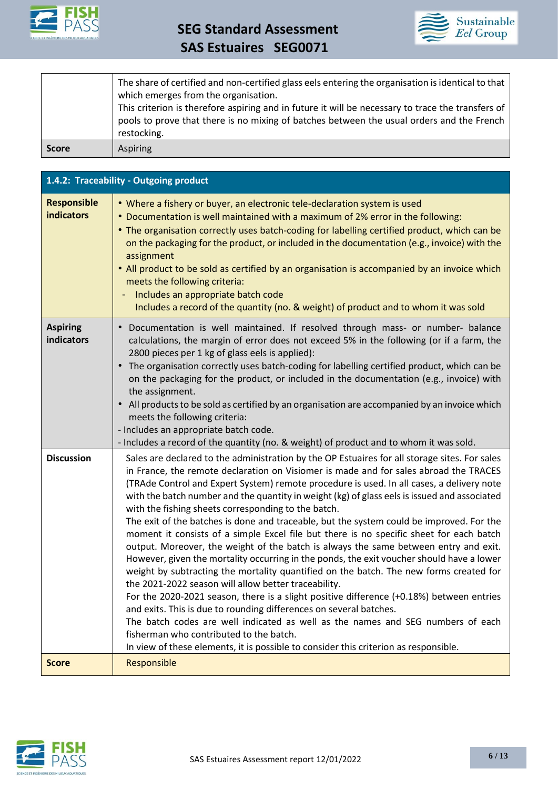



|              | The share of certified and non-certified glass eels entering the organisation is identical to that<br>which emerges from the organisation.<br>This criterion is therefore aspiring and in future it will be necessary to trace the transfers of<br>pools to prove that there is no mixing of batches between the usual orders and the French<br>restocking. |
|--------------|-------------------------------------------------------------------------------------------------------------------------------------------------------------------------------------------------------------------------------------------------------------------------------------------------------------------------------------------------------------|
| <b>Score</b> | Aspiring                                                                                                                                                                                                                                                                                                                                                    |

|                                         | 1.4.2: Traceability - Outgoing product                                                                                                                                                                                                                                                                                                                                                                                                                                                                                                                                                                                                                                                                                                                                                                                                                                                                                                                                                                                                                                                                                                                                                                                                                                                                                                                           |  |
|-----------------------------------------|------------------------------------------------------------------------------------------------------------------------------------------------------------------------------------------------------------------------------------------------------------------------------------------------------------------------------------------------------------------------------------------------------------------------------------------------------------------------------------------------------------------------------------------------------------------------------------------------------------------------------------------------------------------------------------------------------------------------------------------------------------------------------------------------------------------------------------------------------------------------------------------------------------------------------------------------------------------------------------------------------------------------------------------------------------------------------------------------------------------------------------------------------------------------------------------------------------------------------------------------------------------------------------------------------------------------------------------------------------------|--|
| <b>Responsible</b><br><b>indicators</b> | • Where a fishery or buyer, an electronic tele-declaration system is used<br>• Documentation is well maintained with a maximum of 2% error in the following:<br>• The organisation correctly uses batch-coding for labelling certified product, which can be<br>on the packaging for the product, or included in the documentation (e.g., invoice) with the<br>assignment<br>• All product to be sold as certified by an organisation is accompanied by an invoice which<br>meets the following criteria:<br>Includes an appropriate batch code<br>Includes a record of the quantity (no. & weight) of product and to whom it was sold                                                                                                                                                                                                                                                                                                                                                                                                                                                                                                                                                                                                                                                                                                                           |  |
| <b>Aspiring</b><br>indicators           | Documentation is well maintained. If resolved through mass- or number- balance<br>calculations, the margin of error does not exceed 5% in the following (or if a farm, the<br>2800 pieces per 1 kg of glass eels is applied):<br>• The organisation correctly uses batch-coding for labelling certified product, which can be<br>on the packaging for the product, or included in the documentation (e.g., invoice) with<br>the assignment.<br>• All products to be sold as certified by an organisation are accompanied by an invoice which<br>meets the following criteria:<br>- Includes an appropriate batch code.<br>- Includes a record of the quantity (no. & weight) of product and to whom it was sold.                                                                                                                                                                                                                                                                                                                                                                                                                                                                                                                                                                                                                                                 |  |
| <b>Discussion</b>                       | Sales are declared to the administration by the OP Estuaires for all storage sites. For sales<br>in France, the remote declaration on Visiomer is made and for sales abroad the TRACES<br>(TRAde Control and Expert System) remote procedure is used. In all cases, a delivery note<br>with the batch number and the quantity in weight (kg) of glass eels is issued and associated<br>with the fishing sheets corresponding to the batch.<br>The exit of the batches is done and traceable, but the system could be improved. For the<br>moment it consists of a simple Excel file but there is no specific sheet for each batch<br>output. Moreover, the weight of the batch is always the same between entry and exit.<br>However, given the mortality occurring in the ponds, the exit voucher should have a lower<br>weight by subtracting the mortality quantified on the batch. The new forms created for<br>the 2021-2022 season will allow better traceability.<br>For the 2020-2021 season, there is a slight positive difference (+0.18%) between entries<br>and exits. This is due to rounding differences on several batches.<br>The batch codes are well indicated as well as the names and SEG numbers of each<br>fisherman who contributed to the batch.<br>In view of these elements, it is possible to consider this criterion as responsible. |  |
| <b>Score</b>                            | Responsible                                                                                                                                                                                                                                                                                                                                                                                                                                                                                                                                                                                                                                                                                                                                                                                                                                                                                                                                                                                                                                                                                                                                                                                                                                                                                                                                                      |  |

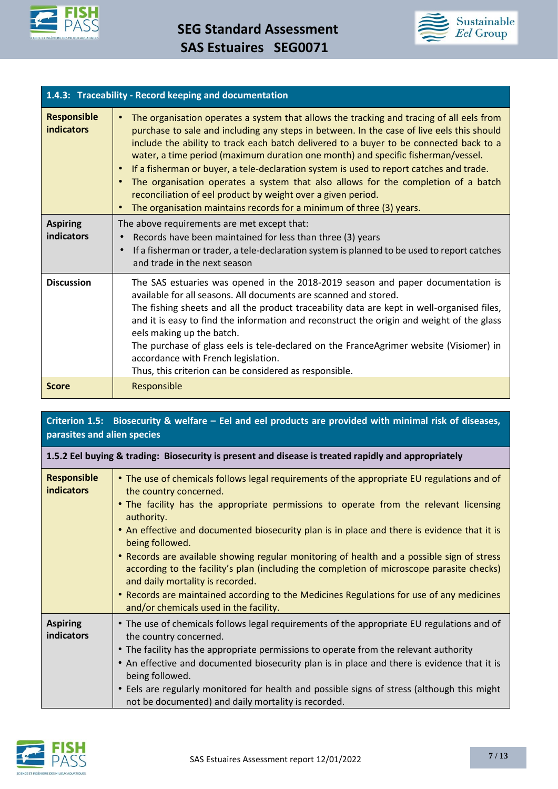



| 1.4.3: Traceability - Record keeping and documentation |                                                                                                                                                                                                                                                                                                                                                                                                                                                                                                                                                                                                                                                                                                                       |  |
|--------------------------------------------------------|-----------------------------------------------------------------------------------------------------------------------------------------------------------------------------------------------------------------------------------------------------------------------------------------------------------------------------------------------------------------------------------------------------------------------------------------------------------------------------------------------------------------------------------------------------------------------------------------------------------------------------------------------------------------------------------------------------------------------|--|
| <b>Responsible</b><br><b>indicators</b>                | The organisation operates a system that allows the tracking and tracing of all eels from<br>$\bullet$<br>purchase to sale and including any steps in between. In the case of live eels this should<br>include the ability to track each batch delivered to a buyer to be connected back to a<br>water, a time period (maximum duration one month) and specific fisherman/vessel.<br>If a fisherman or buyer, a tele-declaration system is used to report catches and trade.<br>$\bullet$<br>The organisation operates a system that also allows for the completion of a batch<br>reconciliation of eel product by weight over a given period.<br>The organisation maintains records for a minimum of three (3) years. |  |
| <b>Aspiring</b><br><b>indicators</b>                   | The above requirements are met except that:<br>Records have been maintained for less than three (3) years<br>If a fisherman or trader, a tele-declaration system is planned to be used to report catches<br>and trade in the next season                                                                                                                                                                                                                                                                                                                                                                                                                                                                              |  |
| <b>Discussion</b>                                      | The SAS estuaries was opened in the 2018-2019 season and paper documentation is<br>available for all seasons. All documents are scanned and stored.<br>The fishing sheets and all the product traceability data are kept in well-organised files,<br>and it is easy to find the information and reconstruct the origin and weight of the glass<br>eels making up the batch.<br>The purchase of glass eels is tele-declared on the FranceAgrimer website (Visiomer) in<br>accordance with French legislation.<br>Thus, this criterion can be considered as responsible.                                                                                                                                                |  |
| <b>Score</b>                                           | Responsible                                                                                                                                                                                                                                                                                                                                                                                                                                                                                                                                                                                                                                                                                                           |  |

# **Criterion 1.5: Biosecurity & welfare – Eel and eel products are provided with minimal risk of diseases, parasites and alien species**

| <b>Responsible</b><br><b>indicators</b> | • The use of chemicals follows legal requirements of the appropriate EU regulations and of<br>the country concerned.<br>• The facility has the appropriate permissions to operate from the relevant licensing<br>authority.<br>. An effective and documented biosecurity plan is in place and there is evidence that it is<br>being followed.<br>• Records are available showing regular monitoring of health and a possible sign of stress<br>according to the facility's plan (including the completion of microscope parasite checks)<br>and daily mortality is recorded.<br>• Records are maintained according to the Medicines Regulations for use of any medicines |
|-----------------------------------------|--------------------------------------------------------------------------------------------------------------------------------------------------------------------------------------------------------------------------------------------------------------------------------------------------------------------------------------------------------------------------------------------------------------------------------------------------------------------------------------------------------------------------------------------------------------------------------------------------------------------------------------------------------------------------|
|                                         | and/or chemicals used in the facility.                                                                                                                                                                                                                                                                                                                                                                                                                                                                                                                                                                                                                                   |
| <b>Aspiring</b><br>indicators           | • The use of chemicals follows legal requirements of the appropriate EU regulations and of<br>the country concerned.                                                                                                                                                                                                                                                                                                                                                                                                                                                                                                                                                     |
|                                         | • The facility has the appropriate permissions to operate from the relevant authority                                                                                                                                                                                                                                                                                                                                                                                                                                                                                                                                                                                    |
|                                         | • An effective and documented biosecurity plan is in place and there is evidence that it is<br>being followed.                                                                                                                                                                                                                                                                                                                                                                                                                                                                                                                                                           |
|                                         | • Eels are regularly monitored for health and possible signs of stress (although this might<br>not be documented) and daily mortality is recorded.                                                                                                                                                                                                                                                                                                                                                                                                                                                                                                                       |

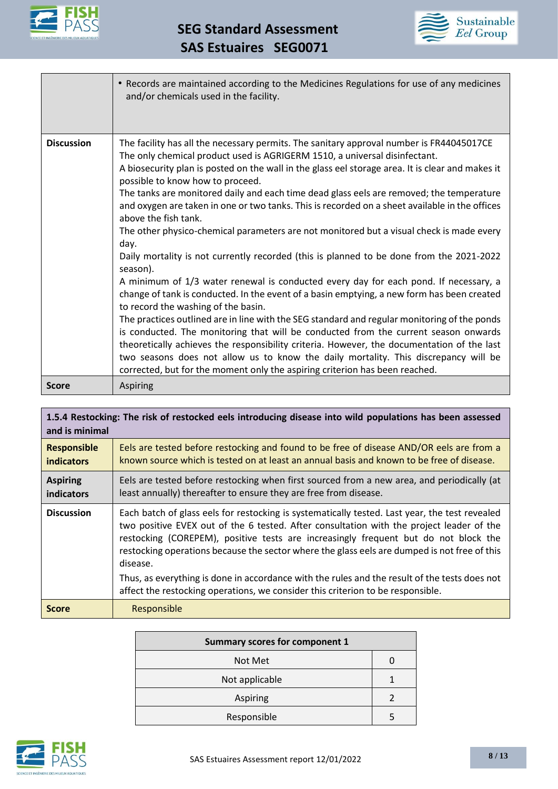



|                   | • Records are maintained according to the Medicines Regulations for use of any medicines<br>and/or chemicals used in the facility.                                                                                                                                                                                                                                                                                                                                                                                                                                                                                                                                                                                                                                                                                                                                                                                                                                                                                                                                                                                                                                                                                                                                                                                                                                                                                                       |
|-------------------|------------------------------------------------------------------------------------------------------------------------------------------------------------------------------------------------------------------------------------------------------------------------------------------------------------------------------------------------------------------------------------------------------------------------------------------------------------------------------------------------------------------------------------------------------------------------------------------------------------------------------------------------------------------------------------------------------------------------------------------------------------------------------------------------------------------------------------------------------------------------------------------------------------------------------------------------------------------------------------------------------------------------------------------------------------------------------------------------------------------------------------------------------------------------------------------------------------------------------------------------------------------------------------------------------------------------------------------------------------------------------------------------------------------------------------------|
| <b>Discussion</b> | The facility has all the necessary permits. The sanitary approval number is FR44045017CE<br>The only chemical product used is AGRIGERM 1510, a universal disinfectant.<br>A biosecurity plan is posted on the wall in the glass eel storage area. It is clear and makes it<br>possible to know how to proceed.<br>The tanks are monitored daily and each time dead glass eels are removed; the temperature<br>and oxygen are taken in one or two tanks. This is recorded on a sheet available in the offices<br>above the fish tank.<br>The other physico-chemical parameters are not monitored but a visual check is made every<br>day.<br>Daily mortality is not currently recorded (this is planned to be done from the 2021-2022<br>season).<br>A minimum of 1/3 water renewal is conducted every day for each pond. If necessary, a<br>change of tank is conducted. In the event of a basin emptying, a new form has been created<br>to record the washing of the basin.<br>The practices outlined are in line with the SEG standard and regular monitoring of the ponds<br>is conducted. The monitoring that will be conducted from the current season onwards<br>theoretically achieves the responsibility criteria. However, the documentation of the last<br>two seasons does not allow us to know the daily mortality. This discrepancy will be<br>corrected, but for the moment only the aspiring criterion has been reached. |
| <b>Score</b>      | <b>Aspiring</b>                                                                                                                                                                                                                                                                                                                                                                                                                                                                                                                                                                                                                                                                                                                                                                                                                                                                                                                                                                                                                                                                                                                                                                                                                                                                                                                                                                                                                          |

| 1.5.4 Restocking: The risk of restocked eels introducing disease into wild populations has been assessed<br>and is minimal |                                                                                                                                                                                                                                                                                                                                                                                                                                                                                                |
|----------------------------------------------------------------------------------------------------------------------------|------------------------------------------------------------------------------------------------------------------------------------------------------------------------------------------------------------------------------------------------------------------------------------------------------------------------------------------------------------------------------------------------------------------------------------------------------------------------------------------------|
| <b>Responsible</b><br><b>indicators</b>                                                                                    | Eels are tested before restocking and found to be free of disease AND/OR eels are from a<br>known source which is tested on at least an annual basis and known to be free of disease.                                                                                                                                                                                                                                                                                                          |
| <b>Aspiring</b><br>indicators                                                                                              | Eels are tested before restocking when first sourced from a new area, and periodically (at<br>least annually) thereafter to ensure they are free from disease.                                                                                                                                                                                                                                                                                                                                 |
| <b>Discussion</b>                                                                                                          | Each batch of glass eels for restocking is systematically tested. Last year, the test revealed<br>two positive EVEX out of the 6 tested. After consultation with the project leader of the<br>restocking (COREPEM), positive tests are increasingly frequent but do not block the<br>restocking operations because the sector where the glass eels are dumped is not free of this<br>disease.<br>Thus, as everything is done in accordance with the rules and the result of the tests does not |
|                                                                                                                            | affect the restocking operations, we consider this criterion to be responsible.                                                                                                                                                                                                                                                                                                                                                                                                                |
| <b>Score</b>                                                                                                               | Responsible                                                                                                                                                                                                                                                                                                                                                                                                                                                                                    |

| <b>Summary scores for component 1</b> |  |
|---------------------------------------|--|
| Not Met                               |  |
| Not applicable                        |  |
| Aspiring                              |  |
| Responsible                           |  |

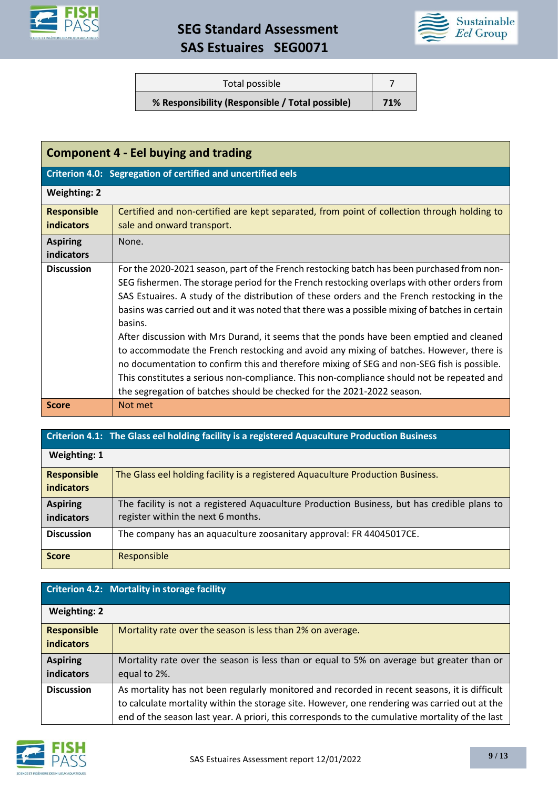

# **SEG Standard Assessment SAS Estuaires SEG0071**



| Total possible                                  |     |
|-------------------------------------------------|-----|
| % Responsibility (Responsible / Total possible) | 71% |

| <b>Component 4 - Eel buying and trading</b>                  |                                                                                                |
|--------------------------------------------------------------|------------------------------------------------------------------------------------------------|
| Criterion 4.0: Segregation of certified and uncertified eels |                                                                                                |
| <b>Weighting: 2</b>                                          |                                                                                                |
| <b>Responsible</b>                                           | Certified and non-certified are kept separated, from point of collection through holding to    |
| <b>indicators</b>                                            | sale and onward transport.                                                                     |
| <b>Aspiring</b>                                              | None.                                                                                          |
| <b>indicators</b>                                            |                                                                                                |
| <b>Discussion</b>                                            | For the 2020-2021 season, part of the French restocking batch has been purchased from non-     |
|                                                              | SEG fishermen. The storage period for the French restocking overlaps with other orders from    |
|                                                              | SAS Estuaires. A study of the distribution of these orders and the French restocking in the    |
|                                                              | basins was carried out and it was noted that there was a possible mixing of batches in certain |
|                                                              | basins.                                                                                        |
|                                                              | After discussion with Mrs Durand, it seems that the ponds have been emptied and cleaned        |
|                                                              | to accommodate the French restocking and avoid any mixing of batches. However, there is        |
|                                                              | no documentation to confirm this and therefore mixing of SEG and non-SEG fish is possible.     |
|                                                              | This constitutes a serious non-compliance. This non-compliance should not be repeated and      |
|                                                              | the segregation of batches should be checked for the 2021-2022 season.                         |
| <b>Score</b>                                                 | Not met                                                                                        |

# **Criterion 4.1: The Glass eel holding facility is a registered Aquaculture Production Business**

| Weighting: 1                            |                                                                                                                                   |
|-----------------------------------------|-----------------------------------------------------------------------------------------------------------------------------------|
| <b>Responsible</b><br><b>indicators</b> | The Glass eel holding facility is a registered Aquaculture Production Business.                                                   |
| <b>Aspiring</b><br><b>indicators</b>    | The facility is not a registered Aquaculture Production Business, but has credible plans to<br>register within the next 6 months. |
| <b>Discussion</b>                       | The company has an aquaculture zoosanitary approval: FR 44045017CE.                                                               |
| <b>Score</b>                            | Responsible                                                                                                                       |

# **Criterion 4.2: Mortality in storage facility**

| <b>Weighting: 2</b> |                                                                                                 |
|---------------------|-------------------------------------------------------------------------------------------------|
| <b>Responsible</b>  | Mortality rate over the season is less than 2% on average.                                      |
| <b>indicators</b>   |                                                                                                 |
| <b>Aspiring</b>     | Mortality rate over the season is less than or equal to 5% on average but greater than or       |
| indicators          | equal to 2%.                                                                                    |
| <b>Discussion</b>   | As mortality has not been regularly monitored and recorded in recent seasons, it is difficult   |
|                     | to calculate mortality within the storage site. However, one rendering was carried out at the   |
|                     | end of the season last year. A priori, this corresponds to the cumulative mortality of the last |

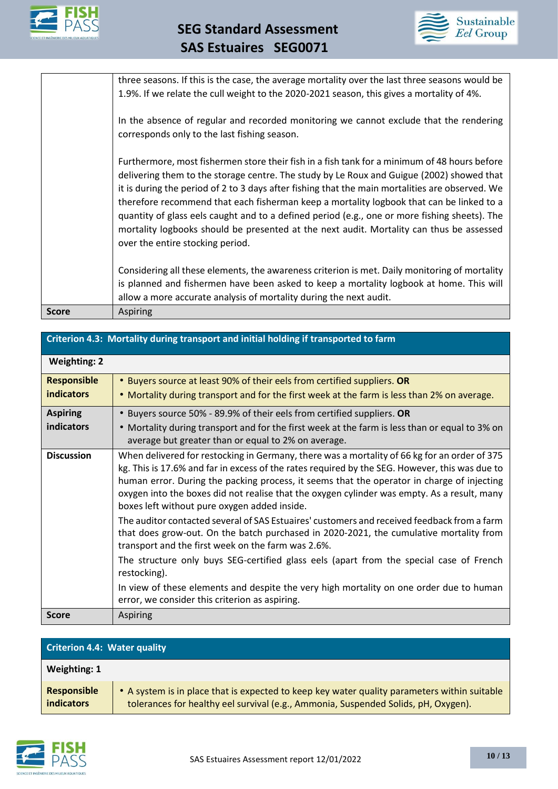



three seasons. If this is the case, the average mortality over the last three seasons would be 1.9%. If we relate the cull weight to the 2020-2021 season, this gives a mortality of 4%.

In the absence of regular and recorded monitoring we cannot exclude that the rendering corresponds only to the last fishing season.

Furthermore, most fishermen store their fish in a fish tank for a minimum of 48 hours before delivering them to the storage centre. The study by Le Roux and Guigue (2002) showed that it is during the period of 2 to 3 days after fishing that the main mortalities are observed. We therefore recommend that each fisherman keep a mortality logbook that can be linked to a quantity of glass eels caught and to a defined period (e.g., one or more fishing sheets). The mortality logbooks should be presented at the next audit. Mortality can thus be assessed over the entire stocking period.

Considering all these elements, the awareness criterion is met. Daily monitoring of mortality is planned and fishermen have been asked to keep a mortality logbook at home. This will allow a more accurate analysis of mortality during the next audit. **Score** Aspiring

| Criterion 4.3: Mortality during transport and initial holding if transported to farm |  |
|--------------------------------------------------------------------------------------|--|
|--------------------------------------------------------------------------------------|--|

| <b>Weighting: 2</b>                     |                                                                                                                                                                                                                                                                                                                                                                                                                                                                                                                                                                                                                                                                                                                                                                                                                                                                                                                                                    |
|-----------------------------------------|----------------------------------------------------------------------------------------------------------------------------------------------------------------------------------------------------------------------------------------------------------------------------------------------------------------------------------------------------------------------------------------------------------------------------------------------------------------------------------------------------------------------------------------------------------------------------------------------------------------------------------------------------------------------------------------------------------------------------------------------------------------------------------------------------------------------------------------------------------------------------------------------------------------------------------------------------|
| <b>Responsible</b><br><b>indicators</b> | • Buyers source at least 90% of their eels from certified suppliers. OR<br>• Mortality during transport and for the first week at the farm is less than 2% on average.                                                                                                                                                                                                                                                                                                                                                                                                                                                                                                                                                                                                                                                                                                                                                                             |
| <b>Aspiring</b><br>indicators           | • Buyers source 50% - 89.9% of their eels from certified suppliers. OR<br>• Mortality during transport and for the first week at the farm is less than or equal to 3% on<br>average but greater than or equal to 2% on average.                                                                                                                                                                                                                                                                                                                                                                                                                                                                                                                                                                                                                                                                                                                    |
| <b>Discussion</b>                       | When delivered for restocking in Germany, there was a mortality of 66 kg for an order of 375<br>kg. This is 17.6% and far in excess of the rates required by the SEG. However, this was due to<br>human error. During the packing process, it seems that the operator in charge of injecting<br>oxygen into the boxes did not realise that the oxygen cylinder was empty. As a result, many<br>boxes left without pure oxygen added inside.<br>The auditor contacted several of SAS Estuaires' customers and received feedback from a farm<br>that does grow-out. On the batch purchased in 2020-2021, the cumulative mortality from<br>transport and the first week on the farm was 2.6%.<br>The structure only buys SEG-certified glass eels (apart from the special case of French<br>restocking).<br>In view of these elements and despite the very high mortality on one order due to human<br>error, we consider this criterion as aspiring. |
| <b>Score</b>                            | <b>Aspiring</b>                                                                                                                                                                                                                                                                                                                                                                                                                                                                                                                                                                                                                                                                                                                                                                                                                                                                                                                                    |

| <b>Criterion 4.4: Water quality</b>     |                                                                                                                                                                                    |  |
|-----------------------------------------|------------------------------------------------------------------------------------------------------------------------------------------------------------------------------------|--|
| Weighting: 1                            |                                                                                                                                                                                    |  |
| <b>Responsible</b><br><i>indicators</i> | • A system is in place that is expected to keep key water quality parameters within suitable<br>tolerances for healthy eel survival (e.g., Ammonia, Suspended Solids, pH, Oxygen). |  |

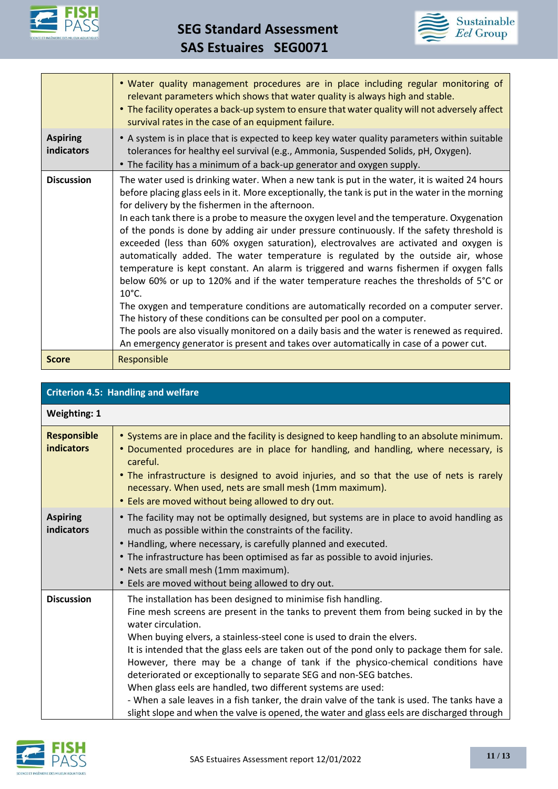

 **SEG Standard Assessment SAS Estuaires SEG0071**



|                               | . Water quality management procedures are in place including regular monitoring of<br>relevant parameters which shows that water quality is always high and stable.<br>. The facility operates a back-up system to ensure that water quality will not adversely affect<br>survival rates in the case of an equipment failure.                                                                                                                                                                                                                                                                                                                                                                                                                                                                                                                                                                                                                                                                                                                                                                                                                                                                        |
|-------------------------------|------------------------------------------------------------------------------------------------------------------------------------------------------------------------------------------------------------------------------------------------------------------------------------------------------------------------------------------------------------------------------------------------------------------------------------------------------------------------------------------------------------------------------------------------------------------------------------------------------------------------------------------------------------------------------------------------------------------------------------------------------------------------------------------------------------------------------------------------------------------------------------------------------------------------------------------------------------------------------------------------------------------------------------------------------------------------------------------------------------------------------------------------------------------------------------------------------|
| <b>Aspiring</b><br>indicators | • A system is in place that is expected to keep key water quality parameters within suitable<br>tolerances for healthy eel survival (e.g., Ammonia, Suspended Solids, pH, Oxygen).<br>• The facility has a minimum of a back-up generator and oxygen supply.                                                                                                                                                                                                                                                                                                                                                                                                                                                                                                                                                                                                                                                                                                                                                                                                                                                                                                                                         |
| <b>Discussion</b>             | The water used is drinking water. When a new tank is put in the water, it is waited 24 hours<br>before placing glass eels in it. More exceptionally, the tank is put in the water in the morning<br>for delivery by the fishermen in the afternoon.<br>In each tank there is a probe to measure the oxygen level and the temperature. Oxygenation<br>of the ponds is done by adding air under pressure continuously. If the safety threshold is<br>exceeded (less than 60% oxygen saturation), electrovalves are activated and oxygen is<br>automatically added. The water temperature is regulated by the outside air, whose<br>temperature is kept constant. An alarm is triggered and warns fishermen if oxygen falls<br>below 60% or up to 120% and if the water temperature reaches the thresholds of 5°C or<br>$10^{\circ}$ C.<br>The oxygen and temperature conditions are automatically recorded on a computer server.<br>The history of these conditions can be consulted per pool on a computer.<br>The pools are also visually monitored on a daily basis and the water is renewed as required.<br>An emergency generator is present and takes over automatically in case of a power cut. |
| <b>Score</b>                  | Responsible                                                                                                                                                                                                                                                                                                                                                                                                                                                                                                                                                                                                                                                                                                                                                                                                                                                                                                                                                                                                                                                                                                                                                                                          |

| <b>Criterion 4.5: Handling and welfare</b> |                                                                                                                                                                                                                                                                                                                                                                                                                                                                                                                                                                                                                                                                                                                                                                               |  |
|--------------------------------------------|-------------------------------------------------------------------------------------------------------------------------------------------------------------------------------------------------------------------------------------------------------------------------------------------------------------------------------------------------------------------------------------------------------------------------------------------------------------------------------------------------------------------------------------------------------------------------------------------------------------------------------------------------------------------------------------------------------------------------------------------------------------------------------|--|
| <b>Weighting: 1</b>                        |                                                                                                                                                                                                                                                                                                                                                                                                                                                                                                                                                                                                                                                                                                                                                                               |  |
| <b>Responsible</b><br><b>indicators</b>    | • Systems are in place and the facility is designed to keep handling to an absolute minimum.<br>• Documented procedures are in place for handling, and handling, where necessary, is<br>careful.<br>• The infrastructure is designed to avoid injuries, and so that the use of nets is rarely<br>necessary. When used, nets are small mesh (1mm maximum).<br>• Eels are moved without being allowed to dry out.                                                                                                                                                                                                                                                                                                                                                               |  |
| <b>Aspiring</b><br>indicators              | • The facility may not be optimally designed, but systems are in place to avoid handling as<br>much as possible within the constraints of the facility.<br>• Handling, where necessary, is carefully planned and executed.<br>• The infrastructure has been optimised as far as possible to avoid injuries.<br>• Nets are small mesh (1mm maximum).<br>• Eels are moved without being allowed to dry out.                                                                                                                                                                                                                                                                                                                                                                     |  |
| <b>Discussion</b>                          | The installation has been designed to minimise fish handling.<br>Fine mesh screens are present in the tanks to prevent them from being sucked in by the<br>water circulation.<br>When buying elvers, a stainless-steel cone is used to drain the elvers.<br>It is intended that the glass eels are taken out of the pond only to package them for sale.<br>However, there may be a change of tank if the physico-chemical conditions have<br>deteriorated or exceptionally to separate SEG and non-SEG batches.<br>When glass eels are handled, two different systems are used:<br>- When a sale leaves in a fish tanker, the drain valve of the tank is used. The tanks have a<br>slight slope and when the valve is opened, the water and glass eels are discharged through |  |

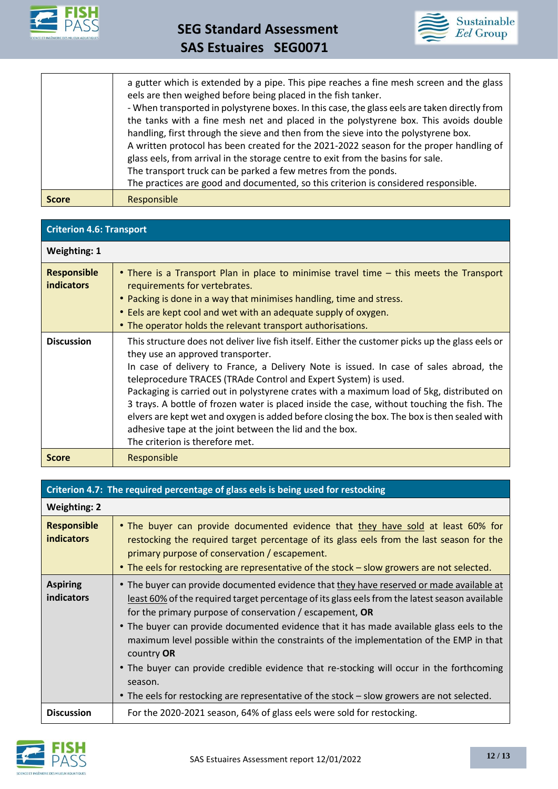



| <b>Score</b> | Responsible                                                                                                                                                                                                                                                                                                                                                                                                                               |
|--------------|-------------------------------------------------------------------------------------------------------------------------------------------------------------------------------------------------------------------------------------------------------------------------------------------------------------------------------------------------------------------------------------------------------------------------------------------|
|              | A written protocol has been created for the 2021-2022 season for the proper handling of<br>glass eels, from arrival in the storage centre to exit from the basins for sale.<br>The transport truck can be parked a few metres from the ponds.<br>The practices are good and documented, so this criterion is considered responsible.                                                                                                      |
|              | a gutter which is extended by a pipe. This pipe reaches a fine mesh screen and the glass<br>eels are then weighed before being placed in the fish tanker.<br>- When transported in polystyrene boxes. In this case, the glass eels are taken directly from<br>the tanks with a fine mesh net and placed in the polystyrene box. This avoids double<br>handling, first through the sieve and then from the sieve into the polystyrene box. |

#### **Criterion 4.6: Transport**

| <b>Weighting: 1</b>                     |                                                                                                                                                                                                                                                                                                                                                                                                                                                                                                                                                                                                                                                                                             |
|-----------------------------------------|---------------------------------------------------------------------------------------------------------------------------------------------------------------------------------------------------------------------------------------------------------------------------------------------------------------------------------------------------------------------------------------------------------------------------------------------------------------------------------------------------------------------------------------------------------------------------------------------------------------------------------------------------------------------------------------------|
| <b>Responsible</b><br><b>indicators</b> | • There is a Transport Plan in place to minimise travel time - this meets the Transport<br>requirements for vertebrates.<br>• Packing is done in a way that minimises handling, time and stress.<br>• Eels are kept cool and wet with an adequate supply of oxygen.<br>• The operator holds the relevant transport authorisations.                                                                                                                                                                                                                                                                                                                                                          |
| <b>Discussion</b>                       | This structure does not deliver live fish itself. Either the customer picks up the glass eels or<br>they use an approved transporter.<br>In case of delivery to France, a Delivery Note is issued. In case of sales abroad, the<br>teleprocedure TRACES (TRAde Control and Expert System) is used.<br>Packaging is carried out in polystyrene crates with a maximum load of 5kg, distributed on<br>3 trays. A bottle of frozen water is placed inside the case, without touching the fish. The<br>elvers are kept wet and oxygen is added before closing the box. The box is then sealed with<br>adhesive tape at the joint between the lid and the box.<br>The criterion is therefore met. |
| <b>Score</b>                            | Responsible                                                                                                                                                                                                                                                                                                                                                                                                                                                                                                                                                                                                                                                                                 |

#### **Criterion 4.7: The required percentage of glass eels is being used for restocking**

| <b>Weighting: 2</b>                     |                                                                                                                                                                                                                                                                                                                                                                                                                                                                                                                                                                                                                                                                   |
|-----------------------------------------|-------------------------------------------------------------------------------------------------------------------------------------------------------------------------------------------------------------------------------------------------------------------------------------------------------------------------------------------------------------------------------------------------------------------------------------------------------------------------------------------------------------------------------------------------------------------------------------------------------------------------------------------------------------------|
| <b>Responsible</b><br><b>indicators</b> | • The buyer can provide documented evidence that they have sold at least 60% for<br>restocking the required target percentage of its glass eels from the last season for the<br>primary purpose of conservation / escapement.<br>• The eels for restocking are representative of the stock - slow growers are not selected.                                                                                                                                                                                                                                                                                                                                       |
| <b>Aspiring</b><br>indicators           | • The buyer can provide documented evidence that they have reserved or made available at<br>least 60% of the required target percentage of its glass eels from the latest season available<br>for the primary purpose of conservation / escapement, $OR$<br>• The buyer can provide documented evidence that it has made available glass eels to the<br>maximum level possible within the constraints of the implementation of the EMP in that<br>country OR<br>• The buyer can provide credible evidence that re-stocking will occur in the forthcoming<br>season.<br>• The eels for restocking are representative of the stock – slow growers are not selected. |
| <b>Discussion</b>                       | For the 2020-2021 season, 64% of glass eels were sold for restocking.                                                                                                                                                                                                                                                                                                                                                                                                                                                                                                                                                                                             |